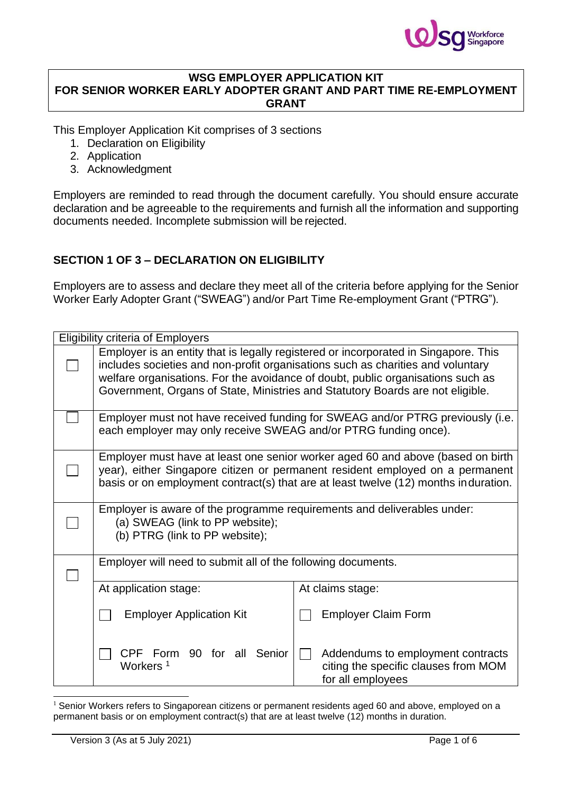

#### **WSG EMPLOYER APPLICATION KIT FOR SENIOR WORKER EARLY ADOPTER GRANT AND PART TIME RE-EMPLOYMENT GRANT**

This Employer Application Kit comprises of 3 sections

- 1. Declaration on Eligibility
- 2. Application
- 3. Acknowledgment

Employers are reminded to read through the document carefully. You should ensure accurate declaration and be agreeable to the requirements and furnish all the information and supporting documents needed. Incomplete submission will be rejected.

## **SECTION 1 OF 3 – DECLARATION ON ELIGIBILITY**

Employers are to assess and declare they meet all of the criteria before applying for the Senior Worker Early Adopter Grant ("SWEAG") and/or Part Time Re-employment Grant ("PTRG").

| <b>Eligibility criteria of Employers</b>                                                                                                                                                                                                                                                                                                    |                                                                                                                                                                                                                                                         |  |  |
|---------------------------------------------------------------------------------------------------------------------------------------------------------------------------------------------------------------------------------------------------------------------------------------------------------------------------------------------|---------------------------------------------------------------------------------------------------------------------------------------------------------------------------------------------------------------------------------------------------------|--|--|
| Employer is an entity that is legally registered or incorporated in Singapore. This<br>includes societies and non-profit organisations such as charities and voluntary<br>welfare organisations. For the avoidance of doubt, public organisations such as<br>Government, Organs of State, Ministries and Statutory Boards are not eligible. |                                                                                                                                                                                                                                                         |  |  |
| each employer may only receive SWEAG and/or PTRG funding once).                                                                                                                                                                                                                                                                             | Employer must not have received funding for SWEAG and/or PTRG previously (i.e.                                                                                                                                                                          |  |  |
|                                                                                                                                                                                                                                                                                                                                             | Employer must have at least one senior worker aged 60 and above (based on birth<br>year), either Singapore citizen or permanent resident employed on a permanent<br>basis or on employment contract(s) that are at least twelve (12) months induration. |  |  |
| Employer is aware of the programme requirements and deliverables under:<br>(a) SWEAG (link to PP website);<br>(b) PTRG (link to PP website);                                                                                                                                                                                                |                                                                                                                                                                                                                                                         |  |  |
| Employer will need to submit all of the following documents.                                                                                                                                                                                                                                                                                |                                                                                                                                                                                                                                                         |  |  |
| At application stage:                                                                                                                                                                                                                                                                                                                       | At claims stage:                                                                                                                                                                                                                                        |  |  |
| <b>Employer Application Kit</b>                                                                                                                                                                                                                                                                                                             | <b>Employer Claim Form</b>                                                                                                                                                                                                                              |  |  |
| Senior<br>CPF Form 90 for all<br>Workers <sup>1</sup>                                                                                                                                                                                                                                                                                       | Addendums to employment contracts<br>citing the specific clauses from MOM<br>for all employees                                                                                                                                                          |  |  |

 $1$  Senior Workers refers to Singaporean citizens or permanent residents aged 60 and above, employed on a permanent basis or on employment contract(s) that are at least twelve (12) months in duration.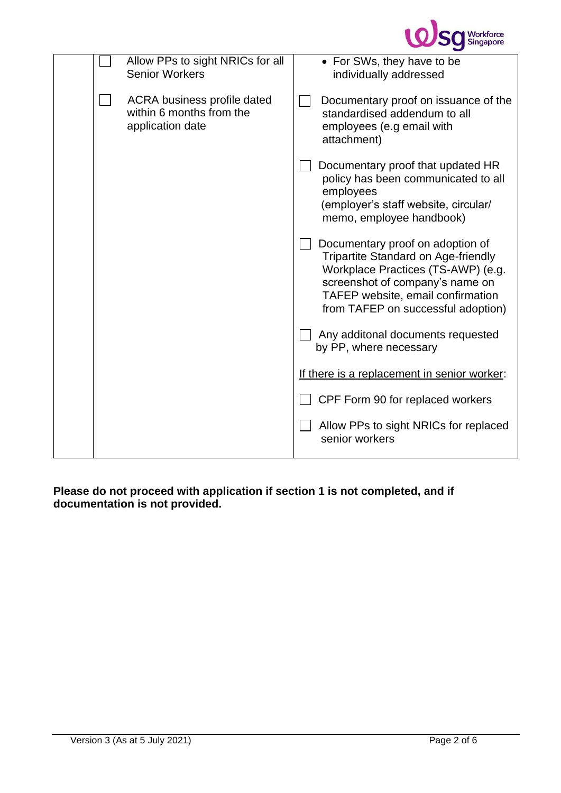

|  | Allow PPs to sight NRICs for all<br><b>Senior Workers</b>                   | • For SWs, they have to be<br>individually addressed                                                                                                                                                                        |
|--|-----------------------------------------------------------------------------|-----------------------------------------------------------------------------------------------------------------------------------------------------------------------------------------------------------------------------|
|  | ACRA business profile dated<br>within 6 months from the<br>application date | Documentary proof on issuance of the<br>standardised addendum to all<br>employees (e.g email with<br>attachment)                                                                                                            |
|  |                                                                             | Documentary proof that updated HR<br>policy has been communicated to all<br>employees<br>(employer's staff website, circular/<br>memo, employee handbook)                                                                   |
|  |                                                                             | Documentary proof on adoption of<br>Tripartite Standard on Age-friendly<br>Workplace Practices (TS-AWP) (e.g.<br>screenshot of company's name on<br>TAFEP website, email confirmation<br>from TAFEP on successful adoption) |
|  |                                                                             | Any additonal documents requested<br>by PP, where necessary                                                                                                                                                                 |
|  |                                                                             | If there is a replacement in senior worker:                                                                                                                                                                                 |
|  |                                                                             | CPF Form 90 for replaced workers                                                                                                                                                                                            |
|  |                                                                             | Allow PPs to sight NRICs for replaced<br>senior workers                                                                                                                                                                     |
|  |                                                                             |                                                                                                                                                                                                                             |

**Please do not proceed with application if section 1 is not completed, and if documentation is not provided.**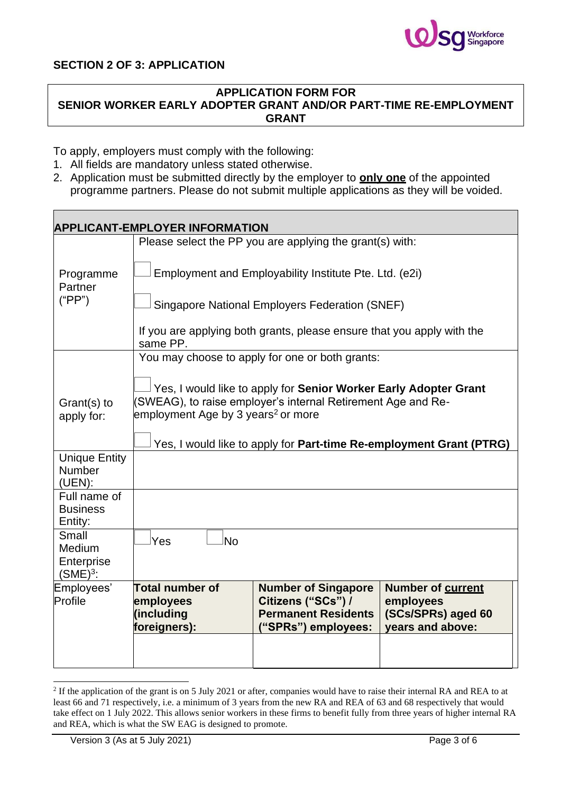

### **SECTION 2 OF 3: APPLICATION**

## **APPLICATION FORM FOR**

**SENIOR WORKER EARLY ADOPTER GRANT AND/OR PART-TIME RE-EMPLOYMENT GRANT**

To apply, employers must comply with the following:

- 1. All fields are mandatory unless stated otherwise.
- 2. Application must be submitted directly by the employer to **only one** of the appointed programme partners. Please do not submit multiple applications as they will be voided.

| <b>APPLICANT-EMPLOYER INFORMATION</b>           |                                                                                                                                                                                                                                                           |                                                                                                       |                                                                          |
|-------------------------------------------------|-----------------------------------------------------------------------------------------------------------------------------------------------------------------------------------------------------------------------------------------------------------|-------------------------------------------------------------------------------------------------------|--------------------------------------------------------------------------|
|                                                 |                                                                                                                                                                                                                                                           | Please select the PP you are applying the grant(s) with:                                              |                                                                          |
| Programme<br>Partner                            |                                                                                                                                                                                                                                                           | Employment and Employability Institute Pte. Ltd. (e2i)                                                |                                                                          |
| ("PP")                                          | Singapore National Employers Federation (SNEF)                                                                                                                                                                                                            |                                                                                                       |                                                                          |
|                                                 | If you are applying both grants, please ensure that you apply with the<br>same PP.                                                                                                                                                                        |                                                                                                       |                                                                          |
|                                                 |                                                                                                                                                                                                                                                           | You may choose to apply for one or both grants:                                                       |                                                                          |
| Grant(s) to<br>apply for:                       | Yes, I would like to apply for Senior Worker Early Adopter Grant<br>(SWEAG), to raise employer's internal Retirement Age and Re-<br>employment Age by 3 years <sup>2</sup> or more<br>Yes, I would like to apply for Part-time Re-employment Grant (PTRG) |                                                                                                       |                                                                          |
| <b>Unique Entity</b><br><b>Number</b><br>(UEN): |                                                                                                                                                                                                                                                           |                                                                                                       |                                                                          |
| Full name of<br><b>Business</b><br>Entity:      |                                                                                                                                                                                                                                                           |                                                                                                       |                                                                          |
| Small<br>Medium<br>Enterprise<br>$(SME)3$ :     | Yes<br><b>No</b>                                                                                                                                                                                                                                          |                                                                                                       |                                                                          |
| Employees'<br>Profile                           | <b>Total number of</b><br>employees<br>(including<br>foreigners):                                                                                                                                                                                         | <b>Number of Singapore</b><br>Citizens ("SCs") /<br><b>Permanent Residents</b><br>("SPRs") employees: | Number of current<br>employees<br>(SCs/SPRs) aged 60<br>years and above: |
|                                                 |                                                                                                                                                                                                                                                           |                                                                                                       |                                                                          |

 $2$  If the application of the grant is on 5 July 2021 or after, companies would have to raise their internal RA and REA to at least 66 and 71 respectively, i.e. a minimum of 3 years from the new RA and REA of 63 and 68 respectively that would take effect on 1 July 2022. This allows senior workers in these firms to benefit fully from three years of higher internal RA and REA, which is what the SW EAG is designed to promote.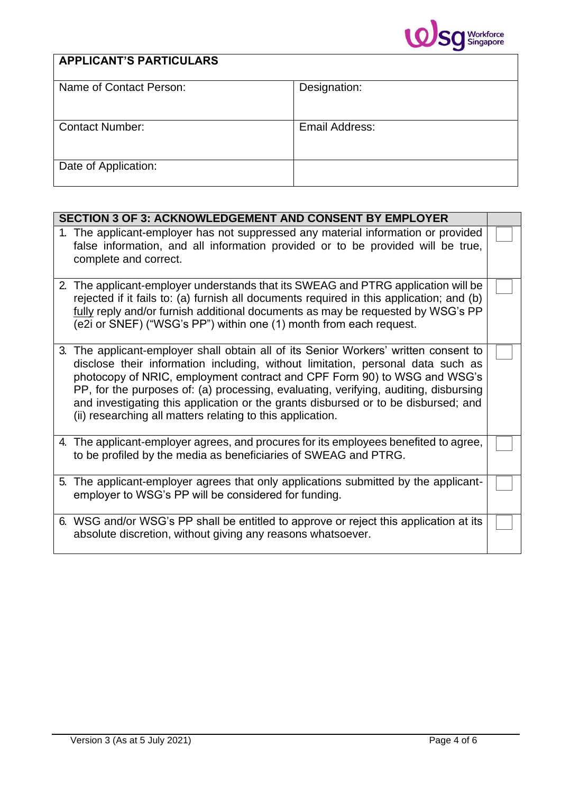

# **APPLICANT'S PARTICULARS**

| Name of Contact Person: | Designation:   |
|-------------------------|----------------|
|                         |                |
|                         |                |
| <b>Contact Number:</b>  | Email Address: |
|                         |                |
|                         |                |
| Date of Application:    |                |
|                         |                |

| <b>SECTION 3 OF 3: ACKNOWLEDGEMENT AND CONSENT BY EMPLOYER</b>                                                                                                                                                                                                                                                                                                                                                                                                                                  |  |
|-------------------------------------------------------------------------------------------------------------------------------------------------------------------------------------------------------------------------------------------------------------------------------------------------------------------------------------------------------------------------------------------------------------------------------------------------------------------------------------------------|--|
| 1. The applicant-employer has not suppressed any material information or provided<br>false information, and all information provided or to be provided will be true,<br>complete and correct.                                                                                                                                                                                                                                                                                                   |  |
| 2. The applicant-employer understands that its SWEAG and PTRG application will be<br>rejected if it fails to: (a) furnish all documents required in this application; and (b)<br>fully reply and/or furnish additional documents as may be requested by WSG's PP<br>(e2i or SNEF) ("WSG's PP") within one (1) month from each request.                                                                                                                                                          |  |
| 3. The applicant-employer shall obtain all of its Senior Workers' written consent to<br>disclose their information including, without limitation, personal data such as<br>photocopy of NRIC, employment contract and CPF Form 90) to WSG and WSG's<br>PP, for the purposes of: (a) processing, evaluating, verifying, auditing, disbursing<br>and investigating this application or the grants disbursed or to be disbursed; and<br>(ii) researching all matters relating to this application. |  |
| 4. The applicant-employer agrees, and procures for its employees benefited to agree,<br>to be profiled by the media as beneficiaries of SWEAG and PTRG.                                                                                                                                                                                                                                                                                                                                         |  |
| 5. The applicant-employer agrees that only applications submitted by the applicant-<br>employer to WSG's PP will be considered for funding.                                                                                                                                                                                                                                                                                                                                                     |  |
| 6. WSG and/or WSG's PP shall be entitled to approve or reject this application at its<br>absolute discretion, without giving any reasons whatsoever.                                                                                                                                                                                                                                                                                                                                            |  |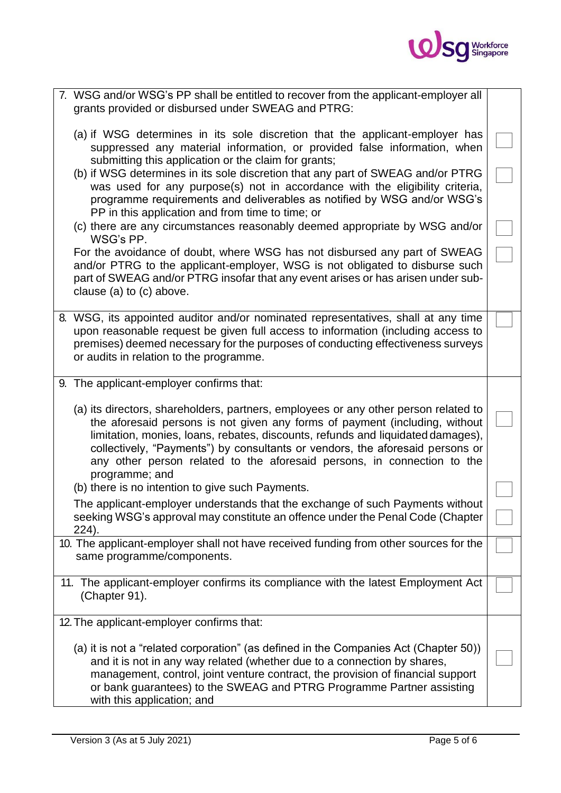

| 7. WSG and/or WSG's PP shall be entitled to recover from the applicant-employer all<br>grants provided or disbursed under SWEAG and PTRG:                                                                                                                                                                                                                                                                                           |  |
|-------------------------------------------------------------------------------------------------------------------------------------------------------------------------------------------------------------------------------------------------------------------------------------------------------------------------------------------------------------------------------------------------------------------------------------|--|
| (a) if WSG determines in its sole discretion that the applicant-employer has<br>suppressed any material information, or provided false information, when<br>submitting this application or the claim for grants;                                                                                                                                                                                                                    |  |
| (b) if WSG determines in its sole discretion that any part of SWEAG and/or PTRG<br>was used for any purpose(s) not in accordance with the eligibility criteria,<br>programme requirements and deliverables as notified by WSG and/or WSG's<br>PP in this application and from time to time; or                                                                                                                                      |  |
| (c) there are any circumstances reasonably deemed appropriate by WSG and/or<br>WSG's PP.                                                                                                                                                                                                                                                                                                                                            |  |
| For the avoidance of doubt, where WSG has not disbursed any part of SWEAG<br>and/or PTRG to the applicant-employer, WSG is not obligated to disburse such<br>part of SWEAG and/or PTRG insofar that any event arises or has arisen under sub-<br>clause (a) to $(c)$ above.                                                                                                                                                         |  |
| 8. WSG, its appointed auditor and/or nominated representatives, shall at any time<br>upon reasonable request be given full access to information (including access to<br>premises) deemed necessary for the purposes of conducting effectiveness surveys<br>or audits in relation to the programme.                                                                                                                                 |  |
| 9. The applicant-employer confirms that:                                                                                                                                                                                                                                                                                                                                                                                            |  |
| (a) its directors, shareholders, partners, employees or any other person related to<br>the aforesaid persons is not given any forms of payment (including, without<br>limitation, monies, loans, rebates, discounts, refunds and liquidated damages),<br>collectively, "Payments") by consultants or vendors, the aforesaid persons or<br>any other person related to the aforesaid persons, in connection to the<br>programme; and |  |
| (b) there is no intention to give such Payments.                                                                                                                                                                                                                                                                                                                                                                                    |  |
| The applicant-employer understands that the exchange of such Payments without<br>seeking WSG's approval may constitute an offence under the Penal Code (Chapter<br>224).                                                                                                                                                                                                                                                            |  |
| 10. The applicant-employer shall not have received funding from other sources for the<br>same programme/components.                                                                                                                                                                                                                                                                                                                 |  |
| 11. The applicant-employer confirms its compliance with the latest Employment Act<br>(Chapter 91).                                                                                                                                                                                                                                                                                                                                  |  |
| 12. The applicant-employer confirms that:                                                                                                                                                                                                                                                                                                                                                                                           |  |
| (a) it is not a "related corporation" (as defined in the Companies Act (Chapter 50))<br>and it is not in any way related (whether due to a connection by shares,<br>management, control, joint venture contract, the provision of financial support<br>or bank guarantees) to the SWEAG and PTRG Programme Partner assisting<br>with this application; and                                                                          |  |